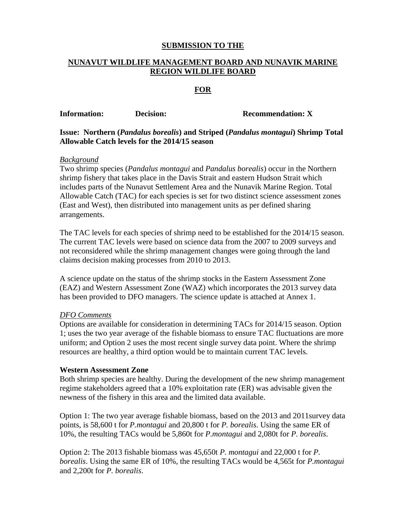## **SUBMISSION TO THE**

# **NUNAVUT WILDLIFE MANAGEMENT BOARD AND NUNAVIK MARINE REGION WILDLIFE BOARD**

### **FOR**

| <b>Information:</b> | Decision:                                                                        | <b>Recommendation: X</b> |
|---------------------|----------------------------------------------------------------------------------|--------------------------|
|                     | Issue: Northern (Pandalus borealis) and Striped (Pandalus montagui) Shrimp Total |                          |

**Allowable Catch levels for the 2014/15 season**

### *Background*

Two shrimp species (*Pandalus montagui* and *Pandalus borealis*) occur in the Northern shrimp fishery that takes place in the Davis Strait and eastern Hudson Strait which includes parts of the Nunavut Settlement Area and the Nunavik Marine Region. Total Allowable Catch (TAC) for each species is set for two distinct science assessment zones (East and West), then distributed into management units as per defined sharing arrangements.

The TAC levels for each species of shrimp need to be established for the 2014/15 season. The current TAC levels were based on science data from the 2007 to 2009 surveys and not reconsidered while the shrimp management changes were going through the land claims decision making processes from 2010 to 2013.

A science update on the status of the shrimp stocks in the Eastern Assessment Zone (EAZ) and Western Assessment Zone (WAZ) which incorporates the 2013 survey data has been provided to DFO managers. The science update is attached at Annex 1.

#### *DFO Comments*

Options are available for consideration in determining TACs for 2014/15 season. Option 1; uses the two year average of the fishable biomass to ensure TAC fluctuations are more uniform; and Option 2 uses the most recent single survey data point. Where the shrimp resources are healthy, a third option would be to maintain current TAC levels.

#### **Western Assessment Zone**

Both shrimp species are healthy. During the development of the new shrimp management regime stakeholders agreed that a 10% exploitation rate (ER) was advisable given the newness of the fishery in this area and the limited data available.

Option 1: The two year average fishable biomass, based on the 2013 and 2011survey data points, is 58,600 t for *P.montagui* and 20,800 t for *P. borealis*. Using the same ER of 10%, the resulting TACs would be 5,860t for *P.montagui* and 2,080t for *P. borealis*.

Option 2: The 2013 fishable biomass was 45,650t *P. montagui* and 22,000 t for *P. borealis*. Using the same ER of 10%, the resulting TACs would be 4,565t for *P.montagui* and 2,200t for *P. borealis*.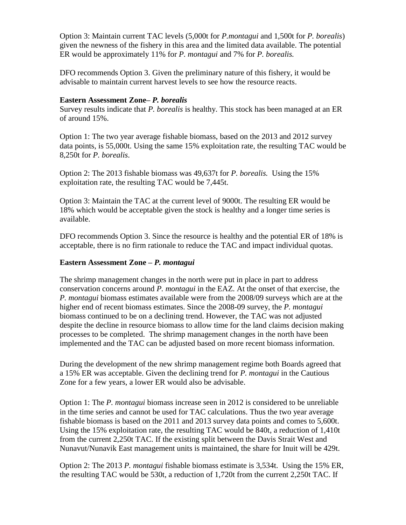Option 3: Maintain current TAC levels (5,000t for *P.montagui* and 1,500t for *P. borealis*) given the newness of the fishery in this area and the limited data available. The potential ER would be approximately 11% for *P. montagui* and 7% for *P. borealis.*

DFO recommends Option 3. Given the preliminary nature of this fishery, it would be advisable to maintain current harvest levels to see how the resource reacts.

## **Eastern Assessment Zone–** *P. borealis*

Survey results indicate that *P. borealis* is healthy. This stock has been managed at an ER of around 15%.

Option 1: The two year average fishable biomass, based on the 2013 and 2012 survey data points, is 55,000t. Using the same 15% exploitation rate, the resulting TAC would be 8,250t for *P. borealis*.

Option 2: The 2013 fishable biomass was 49,637t for *P. borealis.* Using the 15% exploitation rate, the resulting TAC would be 7,445t.

Option 3: Maintain the TAC at the current level of 9000t. The resulting ER would be 18% which would be acceptable given the stock is healthy and a longer time series is available.

DFO recommends Option 3. Since the resource is healthy and the potential ER of 18% is acceptable, there is no firm rationale to reduce the TAC and impact individual quotas.

## **Eastern Assessment Zone –** *P. montagui*

The shrimp management changes in the north were put in place in part to address conservation concerns around *P. montagui* in the EAZ. At the onset of that exercise, the *P. montagui* biomass estimates available were from the 2008/09 surveys which are at the higher end of recent biomass estimates. Since the 2008-09 survey, the *P. montagui* biomass continued to be on a declining trend. However, the TAC was not adjusted despite the decline in resource biomass to allow time for the land claims decision making processes to be completed. The shrimp management changes in the north have been implemented and the TAC can be adjusted based on more recent biomass information.

During the development of the new shrimp management regime both Boards agreed that a 15% ER was acceptable. Given the declining trend for *P. montagui* in the Cautious Zone for a few years, a lower ER would also be advisable.

Option 1: The *P. montagui* biomass increase seen in 2012 is considered to be unreliable in the time series and cannot be used for TAC calculations. Thus the two year average fishable biomass is based on the 2011 and 2013 survey data points and comes to 5,600t. Using the 15% exploitation rate, the resulting TAC would be 840t, a reduction of 1,410t from the current 2,250t TAC. If the existing split between the Davis Strait West and Nunavut/Nunavik East management units is maintained, the share for Inuit will be 429t.

Option 2: The 2013 *P. montagui* fishable biomass estimate is 3,534t. Using the 15% ER, the resulting TAC would be 530t, a reduction of 1,720t from the current 2,250t TAC. If